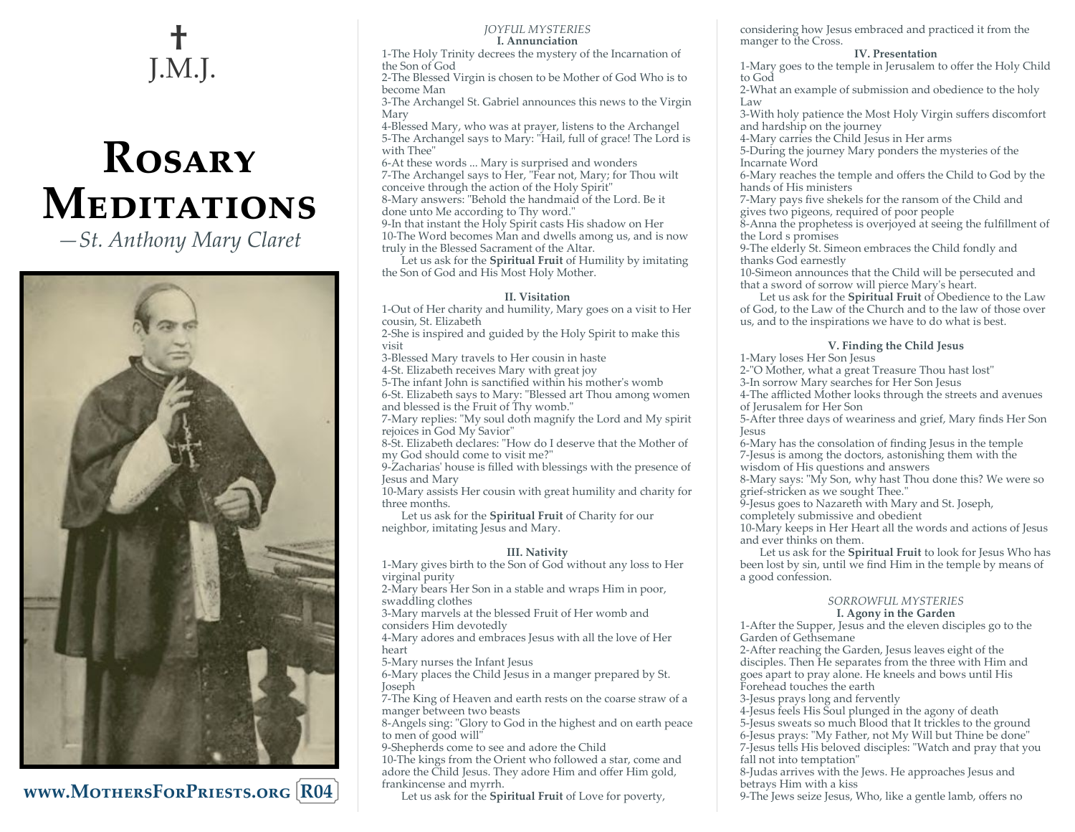## **†**  J.M.J.

# **Rosary Meditations**

*—St. Anthony Mary Claret*



**www.MothersForPriests.org R04**

#### *JOYFUL MYSTERIES* **I. Annunciation**

1-The Holy Trinity decrees the mystery of the Incarnation of the Son of God

2-The Blessed Virgin is chosen to be Mother of God Who is to become Man

3-The Archangel St. Gabriel announces this news to the Virgin Mary

4-Blessed Mary, who was at prayer, listens to the Archangel 5-The Archangel says to Mary: "Hail, full of grace! The Lord is with Thee"

-At these words ... Mary is surprised and wonders -The Archangel says to Her, "Fear not, Mary; for Thou wilt conceive through the action of the Holy Spirit" -Mary answers: "Behold the handmaid of the Lord. Be it

done unto Me according to Thy word."

9-In that instant the Holy Spirit casts His shadow on Her 10-The Word becomes Man and dwells among us, and is now truly in the Blessed Sacrament of the Altar.

Let us ask for the **Spiritual Fruit** of Humility by imitating the Son of God and His Most Holy Mother.

#### **II. Visitation**

1-Out of Her charity and humility, Mary goes on a visit to Her cousin, St. Elizabeth

2-She is inspired and guided by the Holy Spirit to make this visit

3-Blessed Mary travels to Her cousin in haste

4-St. Elizabeth receives Mary with great joy

5-The infant John is sanctified within his mother's womb

6-St. Elizabeth says to Mary: "Blessed art Thou among women and blessed is the Fruit of Thy womb."

7-Mary replies: "My soul doth magnify the Lord and My spirit rejoices in God My Savior"

8-St. Elizabeth declares: "How do I deserve that the Mother of my God should come to visit me?"

9-Zacharias' house is filled with blessings with the presence of Jesus and Mary

10-Mary assists Her cousin with great humility and charity for three months.

Let us ask for the **Spiritual Fruit** of Charity for our neighbor, imitating Jesus and Mary.

#### **III. Nativity**

1-Mary gives birth to the Son of God without any loss to Her virginal purity

2-Mary bears Her Son in a stable and wraps Him in poor, swaddling clothes

3-Mary marvels at the blessed Fruit of Her womb and considers Him devotedly

4-Mary adores and embraces Jesus with all the love of Her heart

5-Mary nurses the Infant Jesus

6-Mary places the Child Jesus in a manger prepared by St. Joseph

7-The King of Heaven and earth rests on the coarse straw of a manger between two beasts

8-Angels sing: "Glory to God in the highest and on earth peace to men of good will"

9-Shepherds come to see and adore the Child

10-The kings from the Orient who followed a star, come and adore the Child Jesus. They adore Him and offer Him gold, frankincense and myrrh.

Let us ask for the **Spiritual Fruit** of Love for poverty,

considering how Jesus embraced and practiced it from the manger to the Cross.

#### **IV. Presentation**

1-Mary goes to the temple in Jerusalem to offer the Holy Child to God

2-What an example of submission and obedience to the holy Law

3-With holy patience the Most Holy Virgin suffers discomfort and hardship on the journey

4-Mary carries the Child Jesus in Her arms

5-During the journey Mary ponders the mysteries of the Incarnate Word

6-Mary reaches the temple and offers the Child to God by the hands of His ministers

7-Mary pays five shekels for the ransom of the Child and gives two pigeons, required of poor people

8-Anna the prophetess is overjoyed at seeing the fulfillment of the Lord s promises

9-The elderly St. Simeon embraces the Child fondly and thanks God earnestly

10-Simeon announces that the Child will be persecuted and that a sword of sorrow will pierce Mary's heart.

Let us ask for the **Spiritual Fruit** of Obedience to the Law of God, to the Law of the Church and to the law of those over us, and to the inspirations we have to do what is best.

#### **V. Finding the Child Jesus**

1-Mary loses Her Son Jesus

2-"O Mother, what a great Treasure Thou hast lost"

3-In sorrow Mary searches for Her Son Jesus

4-The afflicted Mother looks through the streets and avenues of Jerusalem for Her Son

5-After three days of weariness and grief, Mary finds Her Son Jesus

6-Mary has the consolation of finding Jesus in the temple 7-Jesus is among the doctors, astonishing them with the

wisdom of His questions and answers

8-Mary says: "My Son, why hast Thou done this? We were so grief-stricken as we sought Thee."

9-Jesus goes to Nazareth with Mary and St. Joseph,

completely submissive and obedient

10-Mary keeps in Her Heart all the words and actions of Jesus and ever thinks on them.

Let us ask for the **Spiritual Fruit** to look for Jesus Who has been lost by sin, until we find Him in the temple by means of a good confession.

#### *SORROWFUL MYSTERIES* **I. Agony in the Garden**

1-After the Supper, Jesus and the eleven disciples go to the Garden of Gethsemane

2-After reaching the Garden, Jesus leaves eight of the disciples. Then He separates from the three with Him and goes apart to pray alone. He kneels and bows until His Forehead touches the earth

3-Jesus prays long and fervently

-Jesus feels His Soul plunged in the agony of death -Jesus sweats so much Blood that It trickles to the ground -Jesus prays: "My Father, not My Will but Thine be done" -Jesus tells His beloved disciples: "Watch and pray that you

fall not into temptation" 8-Judas arrives with the Jews. He approaches Jesus and

betrays Him with a kiss

9-The Jews seize Jesus, Who, like a gentle lamb, offers no